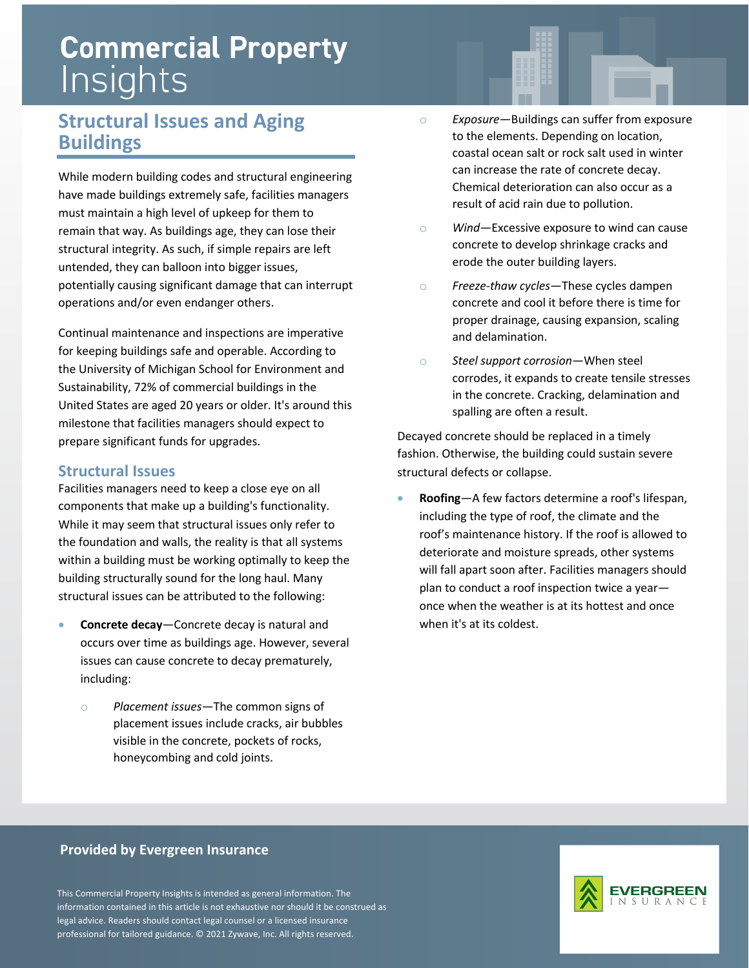# **Commercial Property** Insights

### **Structural Issues and Aging Buildings**

While modern building codes and structural engineering have made buildings extremely safe, facilities managers must maintain a high level of upkeep for them to remain that way. As buildings age, they can lose their structural integrity. As such, if simple repairs are left untended, they can balloon into bigger issues, potentially causing significant damage that can interrupt operations and/or even endanger others.

Continual maintenance and inspections are imperative for keeping buildings safe and operable. According to the University of Michigan School for Environment and Sustainability, 72% of commercial buildings in the United States are aged 20 years or older. It's around this milestone that facilities managers should expect to prepare significant funds for upgrades.

#### **Structural Issues**

Facilities managers need to keep a close eye on all components that make up a building's functionality. While it may seem that structural issues only refer to the foundation and walls, the reality is that all systems within a building must be working optimally to keep the building structurally sound for the long haul. Many structural issues can be attributed to the following:

- **Concrete decay**—Concrete decay is natural and occurs over time as buildings age. However, several issues can cause concrete to decay prematurely, including:
	- o *Placement issues*—The common signs of placement issues include cracks, air bubbles visible in the concrete, pockets of rocks, honeycombing and cold joints.
- o *Exposure*—Buildings can suffer from exposure to the elements. Depending on location, coastal ocean salt or rock salt used in winter can increase the rate of concrete decay. Chemical deterioration can also occur as a result of acid rain due to pollution.
- o *Wind*—Excessive exposure to wind can cause concrete to develop shrinkage cracks and erode the outer building layers.
- o *Freeze-thaw cycles*—These cycles dampen concrete and cool it before there is time for proper drainage, causing expansion, scaling and delamination.
- o *Steel support corrosion*—When steel corrodes, it expands to create tensile stresses in the concrete. Cracking, delamination and spalling are often a result.

Decayed concrete should be replaced in a timely fashion. Otherwise, the building could sustain severe structural defects or collapse.

• **Roofing**—A few factors determine a roof's lifespan, including the type of roof, the climate and the roof's maintenance history. If the roof is allowed to deteriorate and moisture spreads, other systems will fall apart soon after. Facilities managers should plan to conduct a roof inspection twice a year once when the weather is at its hottest and once when it's at its coldest.

#### **Provided by Evergreen Insurance**

This Commercial Property Insights is intended as general information. The information contained in this article is not exhaustive nor should it be construed as legal advice. Readers should contact legal counsel or a licensed insurance professional for tailored guidance. © 2021 Zywave, Inc. All rights reserved.